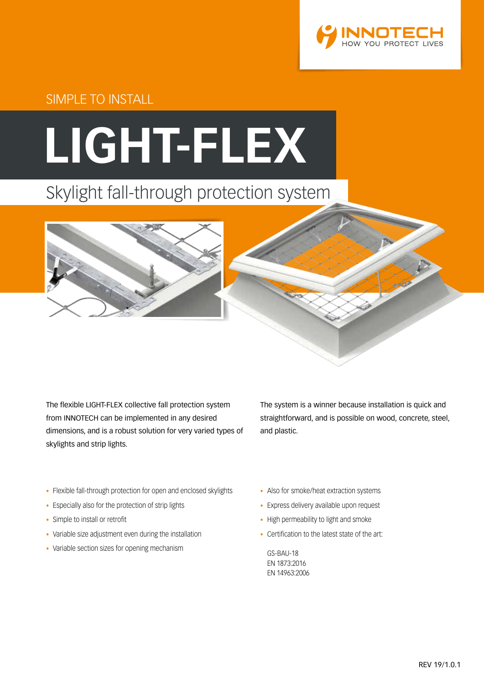

SIMPLE TO INSTALL

# **LIGHT-FLEX**

# Skylight fall-through protection system



The flexible LIGHT-FLEX collective fall protection system from INNOTECH can be implemented in any desired dimensions, and is a robust solution for very varied types of skylights and strip lights.

The system is a winner because installation is quick and straightforward, and is possible on wood, concrete, steel, and plastic.

- Flexible fall-through protection for open and enclosed skylights
- Especially also for the protection of strip lights
- Simple to install or retrofit
- Variable size adjustment even during the installation
- Variable section sizes for opening mechanism
- Also for smoke/heat extraction systems
- Express delivery available upon request
- High permeability to light and smoke
- Certification to the latest state of the art:

GS-BAU-18 EN 1873:2016 EN 14963:2006